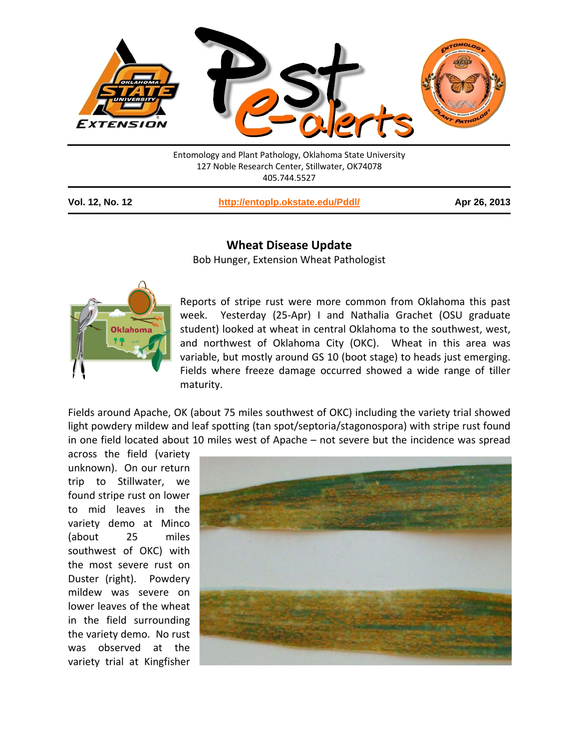

Entomology and Plant Pathology, Oklahoma State University 127 Noble Research Center, Stillwater, OK74078 405.744.5527

**Vol. 12, No. 12 <http://entoplp.okstate.edu/Pddl/> Apr 26, 2013**

## **Wheat Disease Update**

Bob Hunger, Extension Wheat Pathologist



Reports of stripe rust were more common from Oklahoma this past week. Yesterday (25-Apr) I and Nathalia Grachet (OSU graduate student) looked at wheat in central Oklahoma to the southwest, west, and northwest of Oklahoma City (OKC). Wheat in this area was variable, but mostly around GS 10 (boot stage) to heads just emerging. Fields where freeze damage occurred showed a wide range of tiller maturity.

Fields around Apache, OK (about 75 miles southwest of OKC) including the variety trial showed light powdery mildew and leaf spotting (tan spot/septoria/stagonospora) with stripe rust found in one field located about 10 miles west of Apache – not severe but the incidence was spread

across the field (variety unknown). On our return trip to Stillwater, we found stripe rust on lower to mid leaves in the variety demo at Minco (about 25 miles southwest of OKC) with the most severe rust on Duster (right). Powdery mildew was severe on lower leaves of the wheat in the field surrounding the variety demo. No rust was observed at the variety trial at Kingfisher

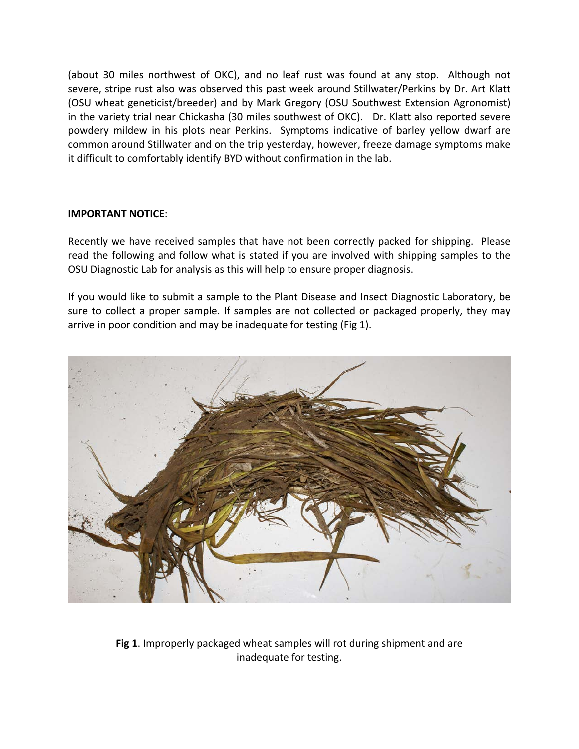(about 30 miles northwest of OKC), and no leaf rust was found at any stop. Although not severe, stripe rust also was observed this past week around Stillwater/Perkins by Dr. Art Klatt (OSU wheat geneticist/breeder) and by Mark Gregory (OSU Southwest Extension Agronomist) in the variety trial near Chickasha (30 miles southwest of OKC). Dr. Klatt also reported severe powdery mildew in his plots near Perkins. Symptoms indicative of barley yellow dwarf are common around Stillwater and on the trip yesterday, however, freeze damage symptoms make it difficult to comfortably identify BYD without confirmation in the lab.

## **IMPORTANT NOTICE**:

Recently we have received samples that have not been correctly packed for shipping. Please read the following and follow what is stated if you are involved with shipping samples to the OSU Diagnostic Lab for analysis as this will help to ensure proper diagnosis.

If you would like to submit a sample to the Plant Disease and Insect Diagnostic Laboratory, be sure to collect a proper sample. If samples are not collected or packaged properly, they may arrive in poor condition and may be inadequate for testing (Fig 1).



**Fig 1**. Improperly packaged wheat samples will rot during shipment and are inadequate for testing.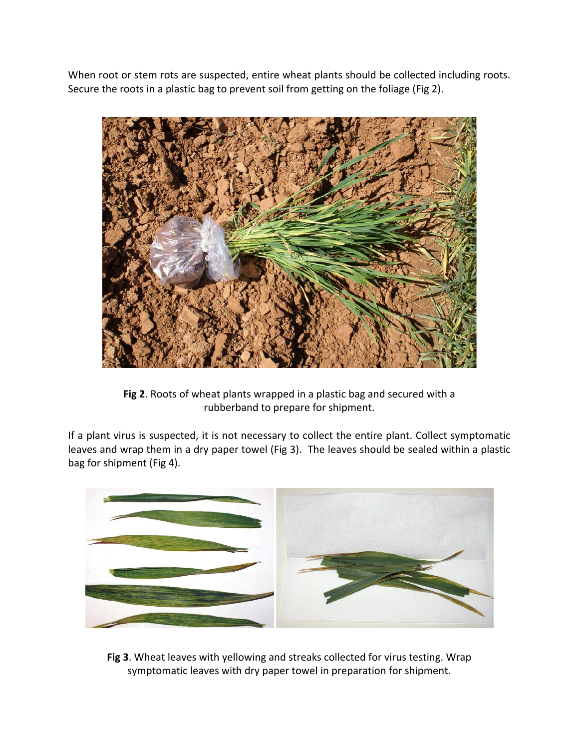When root or stem rots are suspected, entire wheat plants should be collected including roots. Secure the roots in a plastic bag to prevent soil from getting on the foliage (Fig 2).



**Fig 2**. Roots of wheat plants wrapped in a plastic bag and secured with a rubberband to prepare for shipment.

If a plant virus is suspected, it is not necessary to collect the entire plant. Collect symptomatic leaves and wrap them in a dry paper towel (Fig 3). The leaves should be sealed within a plastic bag for shipment (Fig 4).



**Fig 3**. Wheat leaves with yellowing and streaks collected for virus testing. Wrap symptomatic leaves with dry paper towel in preparation for shipment.